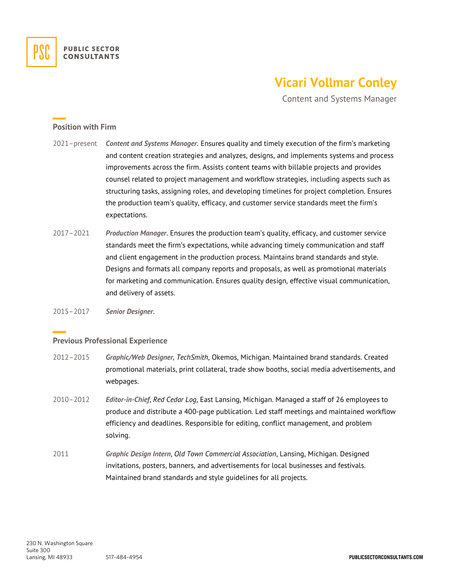

## **Vicari Vollmar Conley**

Content and Systems Manager

## **Position with Firm**

- 2021–present *Content and Systems Manager.* Ensures quality and timely execution of the firm's marketing and content creation strategies and analyzes, designs, and implements systems and process improvements across the firm. Assists content teams with billable projects and provides counsel related to project management and workflow strategies, including aspects such as structuring tasks, assigning roles, and developing timelines for project completion. Ensures the production team's quality, efficacy, and customer service standards meet the firm's expectations.
- 2017–2021 *Production Manager*. Ensures the production team's quality, efficacy, and customer service standards meet the firm's expectations, while advancing timely communication and staff and client engagement in the production process. Maintains brand standards and style. Designs and formats all company reports and proposals, as well as promotional materials for marketing and communication. Ensures quality design, effective visual communication, and delivery of assets.
- 2015–2017 *Senior Designer*.

## **Previous Professional Experience**

- 2012–2015 *Graphic/Web Designer, TechSmith*, Okemos, Michigan. Maintained brand standards. Created promotional materials, print collateral, trade show booths, social media advertisements, and webpages.
- 2010–2012 *Editor-in-Chief*, *Red Cedar Log*, East Lansing, Michigan. Managed a staff of 26 employees to produce and distribute a 400-page publication. Led staff meetings and maintained workflow efficiency and deadlines. Responsible for editing, conflict management, and problem solving.
- 2011 *Graphic Design Intern*, *Old Town Commercial Association*, Lansing, Michigan. Designed invitations, posters, banners, and advertisements for local businesses and festivals. Maintained brand standards and style guidelines for all projects.